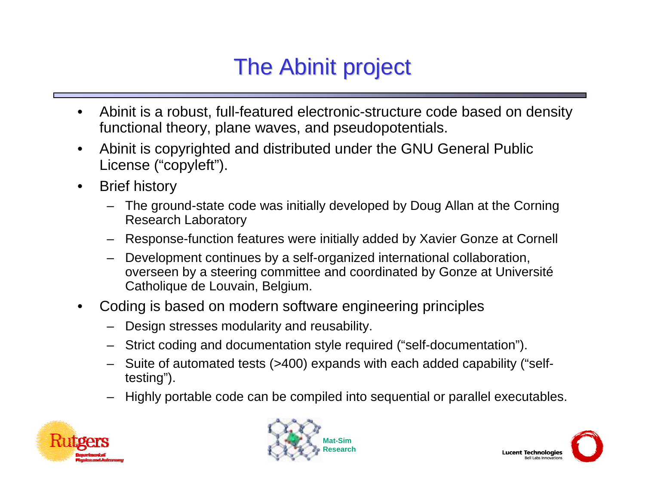# The Abinit project

- $\bullet$  Abinit is a robust, full-featured electronic-structure code based on density functional theory, plane waves, and pseudopotentials.
- $\bullet$  Abinit is copyrighted and distributed under the GNU General Public License ("copyleft").
- $\bullet$  Brief history
	- – The ground-state code was initially developed by Doug Allan at the Corning Research Laboratory
	- –Response-function features were initially added by Xavier Gonze at Cornell
	- – Development continues by a self-organized international collaboration, overseen by a steering committee and coordinated by Gonze at Université Catholique de Louvain, Belgium.
- • Coding is based on modern software engineering principles
	- –Design stresses modularity and reusability.
	- Strict coding and documentation style required ("self-documentation").
	- Suite of automated tests (>400) expands with each added capability ("selftesting").
	- –Highly portable code can be compiled into sequential or parallel executables.





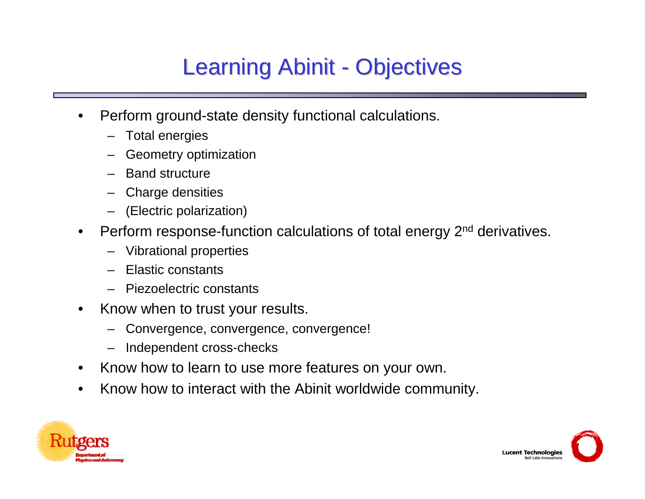## **Learning Abinit - Objectives**

- • Perform ground-state density functional calculations.
	- –Total energies
	- –Geometry optimization
	- –Band structure
	- –Charge densities
	- (Electric polarization)
- $\bullet$ Perform response-function calculations of total energy 2<sup>nd</sup> derivatives.
	- –Vibrational properties
	- –Elastic constants
	- –Piezoelectric constants
- $\bullet$  Know when to trust your results.
	- –Convergence, convergence, convergence!
	- –Independent cross-checks
- $\bullet$ Know how to learn to use more features on your own.
- •Know how to interact with the Abinit worldwide community.



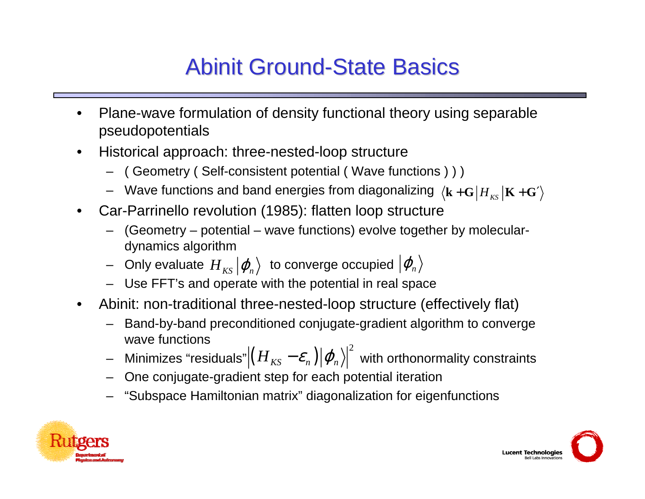## **Abinit Ground-State Basics**

- $\bullet$  Plane-wave formulation of density functional theory using separable pseudopotentials
- $\bullet$  Historical approach: three-nested-loop structure
	- ( Geometry ( Self-consistent potential ( Wave functions ) ) )
	- $-$  Wave functions and band energies from diagonalizing  $\bra{{\bf k}+{\bf G}}H_{_{KS}}\vert {\bf K}+{\bf G}'$
- • Car-Parrinello revolution (1985): flatten loop structure
	- (Geometry potential wave functions) evolve together by moleculardynamics algorithm
	- $\,$  Only evaluate  $\,H_{\,_{KS}}|\varphi_{_{n}}\rangle\,$  to converge occupied  $|\varphi_{_{n}}\rangle$
	- Use FFT's and operate with the potential in real space
- • Abinit: non-traditional three-nested-loop structure (effectively flat)
	- – Band-by-band preconditioned conjugate-gradient algorithm to converge wave functions
	- –Minimizes "residuals" $\left|\left(H_{\textit{KS}}-\mathcal{E}_{\textit{n}}\right)\right|\varphi_{\textit{n}}\left\rangle\right|^{2}$  with orthonormality constraints
	- –One conjugate-gradient step for each potential iteration
	- "Subspace Hamiltonian matrix" diagonalization for eigenfunctions



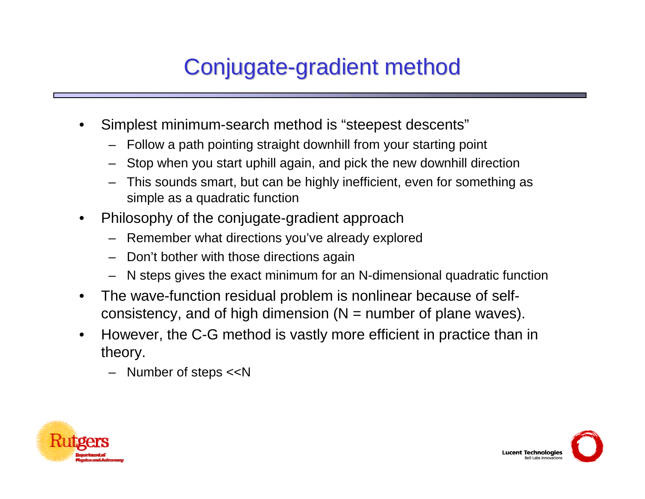# Conjugate-gradient method

- • Simplest minimum-search method is "steepest descents"
	- Follow a path pointing straight downhill from your starting point
	- Stop when you start uphill again, and pick the new downhill direction
	- This sounds smart, but can be highly inefficient, even for something as simple as a quadratic function
- $\bullet$  Philosophy of the conjugate-gradient approach
	- Remember what directions you've already explored
	- Don't bother with those directions again
	- N steps gives the exact minimum for an N-dimensional quadratic function
- $\bullet$  The wave-function residual problem is nonlinear because of selfconsistency, and of high dimension  $(N =$  number of plane waves).
- • However, the C-G method is vastly more efficient in practice than in theory.
	- Number of steps <<N



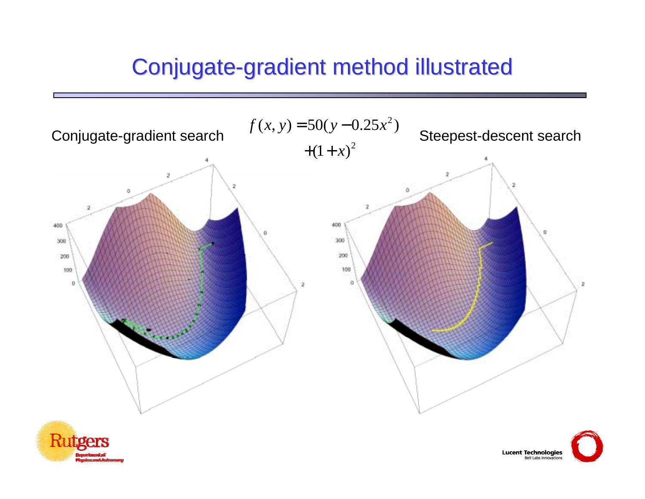#### Conjugate-gradient method illustrated

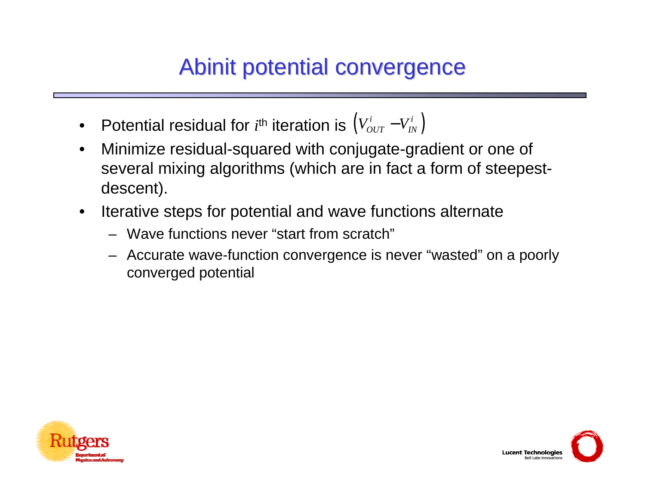#### Abinit potential convergence

- Potential residual for  $i^{\text{th}}$  iteration is  $\left(V_{OUT}^{i}-V_{IN}^{i}\right)$
- $\bullet$  Minimize residual-squared with conjugate-gradient or one of several mixing algorithms (which are in fact a form of steepestdescent).
- $\bullet$  Iterative steps for potential and wave functions alternate
	- Wave functions never "start from scratch"
	- Accurate wave-function convergence is never "wasted" on a poorly converged potential



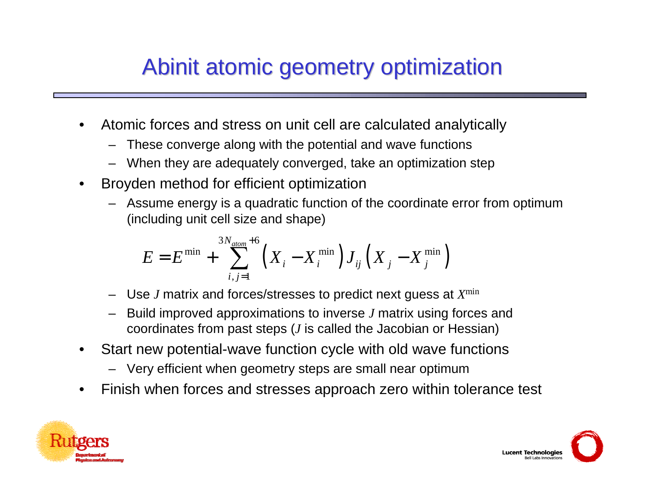### Abinit atomic geometry optimization

- • Atomic forces and stress on unit cell are calculated analytically
	- These converge along with the potential and wave functions
	- –When they are adequately converged, take an optimization step
- • Broyden method for efficient optimization
	- Assume energy is a quadratic function of the coordinate error from optimum (including unit cell size and shape)

$$
E = E^{\min} + \sum_{i,j=1}^{3N_{atom}+6} \left( X_i - X_i^{\min} \right) J_{ij} \left( X_j - X_j^{\min} \right)
$$

- –Use *J* matrix and forces/stresses to predict next guess at *X*min
- Build improved approximations to inverse *J* matrix using forces and coordinates from past steps (*J* is called the Jacobian or Hessian)
- • Start new potential-wave function cycle with old wave functions
	- Very efficient when geometry steps are small near optimum
- •Finish when forces and stresses approach zero within tolerance test



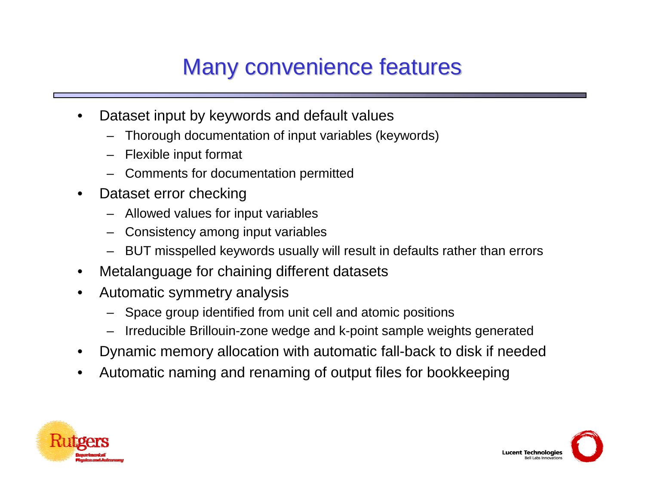## Many convenience features

- • Dataset input by keywords and default values
	- –Thorough documentation of input variables (keywords)
	- –Flexible input format
	- Comments for documentation permitted
- $\bullet$  Dataset error checking
	- –Allowed values for input variables
	- Consistency among input variables
	- BUT misspelled keywords usually will result in defaults rather than errors
- •Metalanguage for chaining different datasets
- • Automatic symmetry analysis
	- –Space group identified from unit cell and atomic positions
	- Irreducible Brillouin-zone wedge and k-point sample weights generated
- •Dynamic memory allocation with automatic fall-back to disk if needed
- •Automatic naming and renaming of output files for bookkeeping



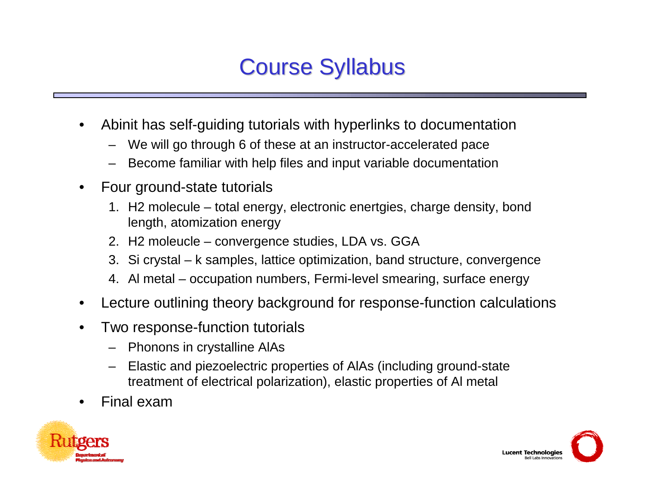#### **Course Syllabus**

- • Abinit has self-guiding tutorials with hyperlinks to documentation
	- We will go through 6 of these at an instructor-accelerated pace
	- Become familiar with help files and input variable documentation
- • Four ground-state tutorials
	- 1. H2 molecule total energy, electronic enertgies, charge density, bond length, atomization energy
	- 2. H2 moleucle convergence studies, LDA vs. GGA
	- 3. Si crystal k samples, lattice optimization, band structure, convergence
	- 4. Al metal occupation numbers, Fermi-level smearing, surface energy
- •Lecture outlining theory background for response-function calculations
- • Two response-function tutorials
	- Phonons in crystalline AlAs
	- – Elastic and piezoelectric properties of AlAs (including ground-state treatment of electrical polarization), elastic properties of Al metal
- •Final exam



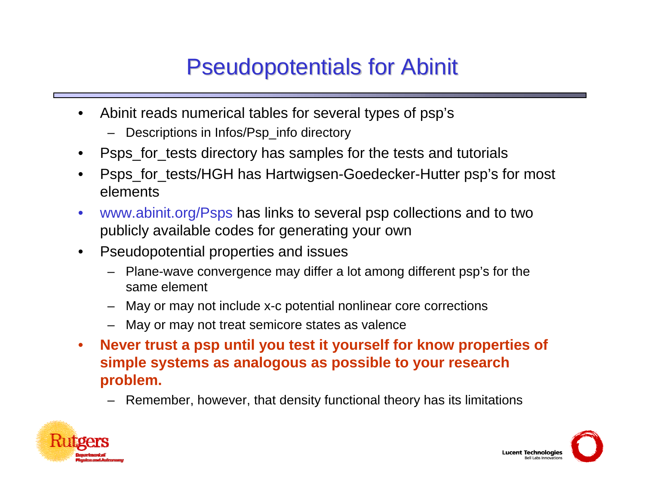#### **Pseudopotentials for Abinit**

- $\bullet$  Abinit reads numerical tables for several types of psp's
	- Descriptions in Infos/Psp\_info directory
- •Psps for tests directory has samples for the tests and tutorials
- $\bullet$  Psps\_for\_tests/HGH has Hartwigsen-Goedecker-Hutter psp's for most elements
- $\bullet$  www.abinit.org/Psps has links to several psp collections and to two publicly available codes for generating your own
- $\bullet$  Pseudopotential properties and issues
	- Plane-wave convergence may differ a lot among different psp's for the same element
	- –May or may not include x-c potential nonlinear core corrections
	- May or may not treat semicore states as valence
- $\bullet$  **Never trust a psp until you test it yourself for know properties of simple systems as analogous as possible to your research problem.**
	- –Remember, however, that density functional theory has its limitations



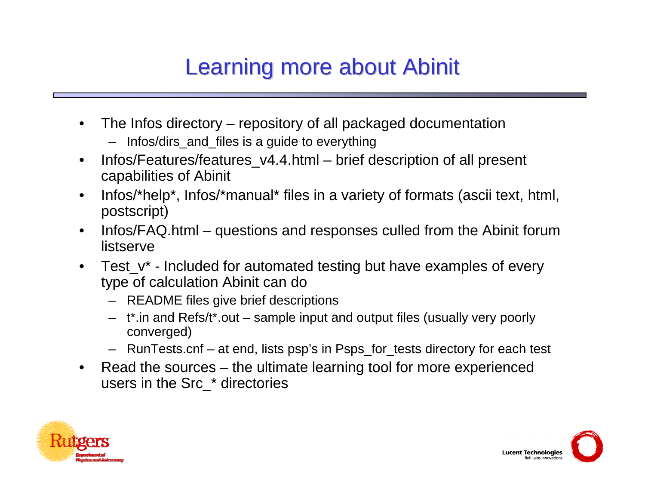## Learning more about Abinit

- • The Infos directory – repository of all packaged documentation
	- Infos/dirs\_and\_files is a guide to everything
- $\bullet$  Infos/Features/features\_v4.4.html – brief description of all present capabilities of Abinit
- $\bullet$  Infos/\*help\*, Infos/\*manual\* files in a variety of formats (ascii text, html, postscript)
- $\bullet$  Infos/FAQ.html – questions and responses culled from the Abinit forum listserve
- $\bullet$  Test\_v\* - Included for automated testing but have examples of every type of calculation Abinit can do
	- README files give brief descriptions
	- t\*.in and Refs/t\*.out sample input and output files (usually very poorly converged)
	- RunTests.cnf at end, lists psp's in Psps\_for\_tests directory for each test
- $\bullet$  Read the sources – the ultimate learning tool for more experienced users in the Src\_\* directories